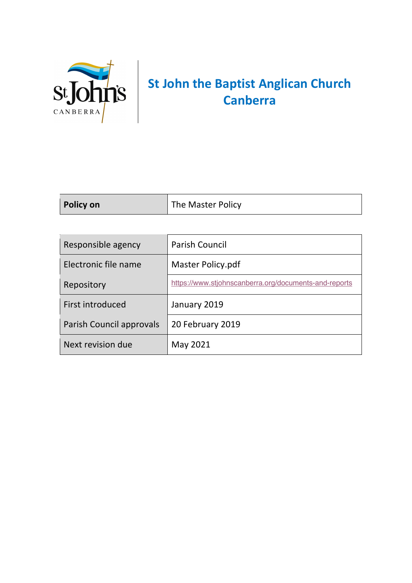

## **St John the Baptist Anglican Church Canberra**

| Policy on | The Master Policy |
|-----------|-------------------|
|           |                   |

| Responsible agency       | <b>Parish Council</b>                                 |
|--------------------------|-------------------------------------------------------|
| Electronic file name     | Master Policy.pdf                                     |
| Repository               | https://www.stjohnscanberra.org/documents-and-reports |
| First introduced         | January 2019                                          |
| Parish Council approvals | 20 February 2019                                      |
| Next revision due        | May 2021                                              |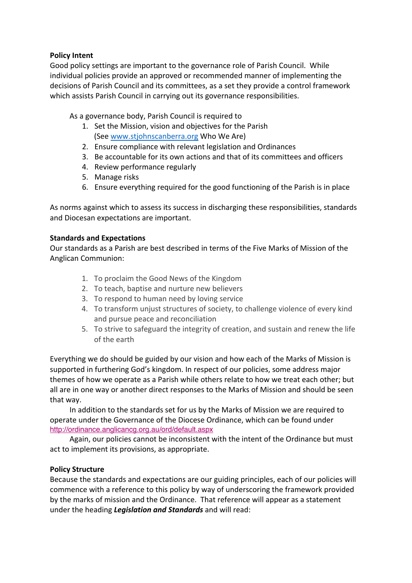## **Policy Intent**

Good policy settings are important to the governance role of Parish Council. While individual policies provide an approved or recommended manner of implementing the decisions of Parish Council and its committees, as a set they provide a control framework which assists Parish Council in carrying out its governance responsibilities.

As a governance body, Parish Council is required to

- 1. Set the Mission, vision and objectives for the Parish (See www.stjohnscanberra.org Who We Are)
- 2. Ensure compliance with relevant legislation and Ordinances
- 3. Be accountable for its own actions and that of its committees and officers
- 4. Review performance regularly
- 5. Manage risks
- 6. Ensure everything required for the good functioning of the Parish is in place

As norms against which to assess its success in discharging these responsibilities, standards and Diocesan expectations are important.

## **Standards and Expectations**

Our standards as a Parish are best described in terms of the Five Marks of Mission of the Anglican Communion:

- 1. To proclaim the Good News of the Kingdom
- 2. To teach, baptise and nurture new believers
- 3. To respond to human need by loving service
- 4. To transform unjust structures of society, to challenge violence of every kind and pursue peace and reconciliation
- 5. To strive to safeguard the integrity of creation, and sustain and renew the life of the earth

Everything we do should be guided by our vision and how each of the Marks of Mission is supported in furthering God's kingdom. In respect of our policies, some address major themes of how we operate as a Parish while others relate to how we treat each other; but all are in one way or another direct responses to the Marks of Mission and should be seen that way.

In addition to the standards set for us by the Marks of Mission we are required to operate under the Governance of the Diocese Ordinance, which can be found under http://ordinance.anglicancg.org.au/ord/default.aspx

Again, our policies cannot be inconsistent with the intent of the Ordinance but must act to implement its provisions, as appropriate.

## **Policy Structure**

Because the standards and expectations are our guiding principles, each of our policies will commence with a reference to this policy by way of underscoring the framework provided by the marks of mission and the Ordinance. That reference will appear as a statement under the heading *Legislation and Standards* and will read: